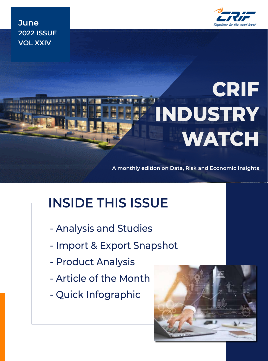

**June 2022 ISSUE VOL XXIV**

# **CRIF INDUSTRY WATCH**

**A monthly edition on Data, Risk and Economic Insights**

# **INSIDE THIS ISSUE**

- Analysis and Studies
- Import & Export Snapshot
- Product Analysis
- Article of the Month
- Quick Infographic

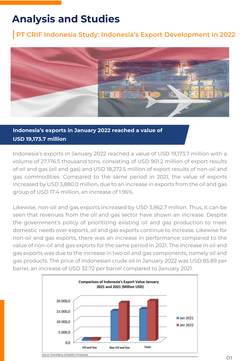### **Analysis and Studies**

### **PT CRIF Indonesia Study: Indonesia's Export Development in 2022**



### **Indonesia's exports in January 2022 reached a value of USD 19,173.7 million**

Indonesia's exports in January 2022 reached a value of USD 19,173.7 million with a volume of 27,176.5 thousand tons, consisting of USD 901.2 million of export results of oil and gas (oil and gas) and USD 18,272.5 million of export results of non-oil and gas commodities. Compared to the same period in 2021, the value of exports increased by USD 3,880.0 million, due to an increase in exports from the oil and gas group of USD 17.4 million, an increase of 1.96%.

Likewise, non-oil and gas exports increased by USD 3,862.7 million. Thus, it can be seen that revenues from the oil and gas sector have shown an increase. Despite the government's policy of prioritizing existing oil and gas production to meet domestic needs over exports, oil and gas exports continue to increase. Likewise for non-oil and gas exports, there was an increase in performance compared to the value of non-oil and gas exports for the same period in 2021. The increase in oil and gas exports was due to the increase in two oil and gas components, namely oil and gas products. The price of Indonesian crude oil in January 2022 was USD 85.89 per barrel, an increase of USD 32.72 per barrel compared to January 2021.

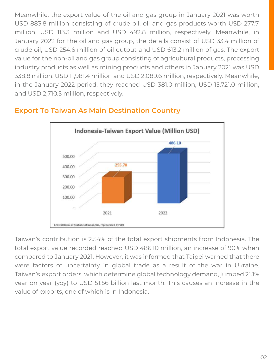Meanwhile, the export value of the oil and gas group in January 2021 was worth USD 883.8 million consisting of crude oil, oil and gas products worth USD 277.7 million, USD 113.3 million and USD 492.8 million, respectively. Meanwhile, in January 2022 for the oil and gas group, the details consist of USD 33.4 million of crude oil, USD 254.6 million of oil output and USD 613.2 million of gas. The export value for the non-oil and gas group consisting of agricultural products, processing industry products as well as mining products and others in January 2021 was USD 338.8 million, USD 11,981.4 million and USD 2,089.6 million, respectively. Meanwhile, in the January 2022 period, they reached USD 381.0 million, USD 15,721.0 million, and USD 2,710.5 million, respectively.



### **Export To Taiwan As Main Destination Country**

Taiwan's contribution is 2.54% of the total export shipments from Indonesia. The total export value recorded reached USD 486.10 million, an increase of 90% when compared to January 2021. However, it was informed that Taipei warned that there were factors of uncertainty in global trade as a result of the war in Ukraine. Taiwan's export orders, which determine global technology demand, jumped 21.1% year on year (yoy) to USD 51.56 billion last month. This causes an increase in the value of exports, one of which is in Indonesia.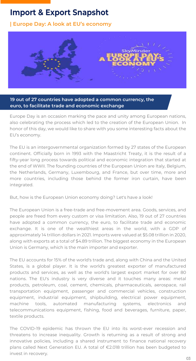### **Import & Export Snapshot**

**D17 D13 | Europe Day: A look at EU's economy**



#### **19 out of 27 countries have adopted a common currency, the euro, to facilitate trade and economic exchange**

Europe Day is an occasion marking the pace and unity among European nations, also celebrating the process which led to the creation of the European Union. In honor of this day, we would like to share with you some interesting facts about the EU's economy.

The EU is an intergovernmental organization formed by 27 states of the European continent. Officially born in 1993 with the Maastricht Treaty, it is the result of a fifty-year long process towards political and economic integration that started at the end of WWII. The founding countries of the European Union are Italy, Belgium, the Netherlands, Germany, Luxembourg, and France, but over time, more and more countries, including those behind the former iron curtain, have been integrated.

But, how is the European Union economy doing? Let's have a look!

The European Union is a free-trade and free-movement area. Goods, services, and people are freed from every custom or visa limitation. Also, 19 out of 27 countries have adopted a common currency, the euro, to facilitate trade and economic exchange. It is one of the wealthiest areas in the world, with a GDP of approximately 14 trillion dollars in 2021. Imports were valued at \$5.08 trillion in 2020, along with exports at a total of \$4.89 trillion. The biggest economy in the European Union is Germany, which is the main importer and exporter.

The EU accounts for 15% of the world's trade and, along with China and the United States, is a global player. It is the world's greatest exporter of manufactured products and services, as well as the world's largest export market for over 80 nations. The EU's industry is very diverse and it touches many areas: metal products, petroleum, coal, cement, chemicals, pharmaceuticals, aerospace, rail transportation equipment, passenger and commercial vehicles, construction equipment, industrial equipment, shipbuilding, electrical power equipment, machine tools, automated manufacturing systems, electronics and telecommunications equipment, fishing, food and beverages, furniture, paper, textile products.

The COVID-19 epidemic has thrown the EU into its worst-ever recession and threatens to increase inequality. Growth is returning as a result of strong and innovative policies, including a shared instrument to finance national recovery plans called Next Generation EU. A total of €2.018 trillion has been budgeted to invest in recovery.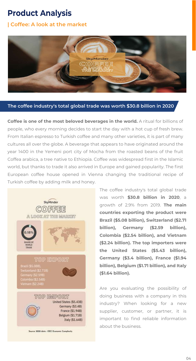### **Product Analysis**

### **| Coffee: A look at the market**



#### **The coffee industry's total global trade was worth \$30.8 billion in 2020**

**Coffee is one of the most beloved beverages in the world.** A ritual for billions of people, who every morning decides to start the day with a hot cup of fresh brew. From Italian espresso to Turkish coffee and many other varieties, it is part of many cultures all over the globe. A beverage that appears to have originated around the year 1400 in the Yemeni port city of Mocha from the roasted beans of the fruit Coffea arabica, a tree native to Ethiopia. Coffee was widespread first in the Islamic world, but thanks to trade it also arrived in Europe and gained popularity. The first European coffee house opened in Vienna changing the traditional recipe of Turkish coffee by adding milk and honey.



The coffee industry's total global trade was worth **\$30.8 billion in 2020**, a growth of 2.9% from 2019. **The main countries exporting the product were Brazil (\$5.08 billion), Switzerland (\$2.71 billion), Germany (\$2.59 billion), Colombia (\$2.54 billion), and Vietnam (\$2.24 billion). The top importers were the United States (\$5.43 billion), Germany (\$3.4 billion), France (\$1.94 billion), Belgium (\$1.71 billion), and Italy (\$1.64 billion).**

Are you evaluating the possibility of doing business with a company in this industry? When looking for a new supplier, customer, or partner, it is important to find reliable information about the business.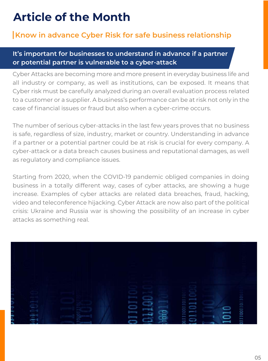### **Article of the Month**

### **Know in advance Cyber Risk for safe business relationship**

#### **It's important for businesses to understand in advance if a partner or potential partner is vulnerable to a cyber-attack**

Cyber Attacks are becoming more and more present in everyday business life and all industry or company, as well as institutions, can be exposed. It means that Cyber risk must be carefully analyzed during an overall evaluation process related to a customer or a supplier. A business's performance can be at risk not only in the case of financial issues or fraud but also when a cyber-crime occurs.

The number of serious cyber-attacks in the last few years proves that no business is safe, regardless of size, industry, market or country. Understanding in advance if a partner or a potential partner could be at risk is crucial for every company. A cyber-attack or a data breach causes business and reputational damages, as well as regulatory and compliance issues.

Starting from 2020, when the COVID-19 pandemic obliged companies in doing business in a totally different way, cases of cyber attacks, are showing a huge increase. Examples of cyber attacks are related data breaches, fraud, hacking, video and teleconference hijacking. Cyber Attack are now also part of the political crisis: Ukraine and Russia war is showing the possibility of an increase in cyber attacks as something real.

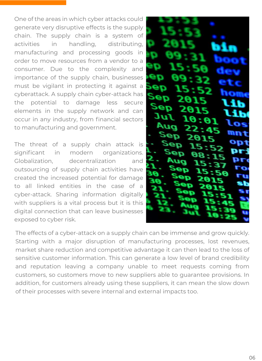One of the areas in which cyber attacks could generate very disruptive effects is the supply chain. The supply chain is a system of activities in handling, distributing, manufacturing and processing goods in order to move resources from a vendor to a consumer. Due to the complexity and importance of the supply chain, businesses must be vigilant in protecting it against a cyberattack. A supply chain cyber-attack has the potential to damage less secure elements in the supply network and can occur in any industry, from financial sectors to manufacturing and government.

The threat of a supply chain attack is significant in modern organizations. Globalization, decentralization and outsourcing of supply chain activities have created the increased potential for damage to all linked entities in the case of a cyber-attack. Sharing information digitally with suppliers is a vital process but it is this digital connection that can leave businesses exposed to cyber risk.



The effects of a cyber-attack on a supply chain can be immense and grow quickly. Starting with a major disruption of manufacturing processes, lost revenues, market share reduction and competitive advantage it can then lead to the loss of sensitive customer information. This can generate a low level of brand credibility and reputation leaving a company unable to meet requests coming from customers, so customers move to new suppliers able to guarantee provisions. In addition, for customers already using these suppliers, it can mean the slow down of their processes with severe internal and external impacts too.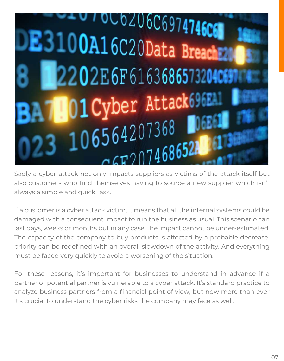

Sadly a cyber-attack not only impacts suppliers as victims of the attack itself but also customers who find themselves having to source a new supplier which isn't always a simple and quick task.

If a customer is a cyber attack victim, it means that all the internal systems could be damaged with a consequent impact to run the business as usual. This scenario can last days, weeks or months but in any case, the impact cannot be under-estimated. The capacity of the company to buy products is affected by a probable decrease, priority can be redefined with an overall slowdown of the activity. And everything must be faced very quickly to avoid a worsening of the situation.

For these reasons, it's important for businesses to understand in advance if a partner or potential partner is vulnerable to a cyber attack. It's standard practice to analyze business partners from a financial point of view, but now more than ever it's crucial to understand the cyber risks the company may face as well.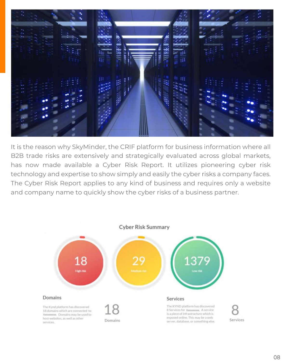

It is the reason why SkyMinder, the CRIF platform for business information where all B2B trade risks are extensively and strategically evaluated across global markets, has now made available a Cyber Risk Report. It utilizes pioneering cyber risk technology and expertise to show simply and easily the cyber risks a company faces. The Cyber Risk Report applies to any kind of business and requires only a website and company name to quickly show the cyber risks of a business partner.

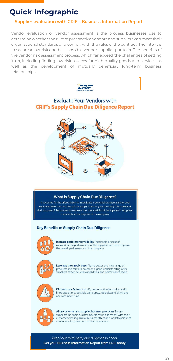## **Quick Infographic**

### **Supplier evaluation with CRIF's Business Information Report**

Vendor evaluation or vendor assessment is the process businesses use to determine whether their list of prospective vendors and suppliers can meet their organizational standards and comply with the rules of the contract. The intent is to secure a low-risk and best possible vendor-supplier portfolio. The benefits of the vendor risk assessment process, which far exceed the challenges of setting it up, including finding low-risk sources for high-quality goods and services, as well as the development of mutually beneficial, long-term business relationships.



### **Evaluate Your Vendors with CRIF's Supply Chain Due Diligence Report**



#### **What is Supply Chain Due Diligence?**

It accounts for the efforts taken to investigate a potential business partner and associated risks that can disrupt the supply chain of your company. The main and vital purpose of the process is to ensure that the portfolio of the top-notch suppliers is available at the disposal of the company.

#### **Key Benefits of Supply Chain Due Diligence**



Increase performance visibility: The simple process of measuring the performance of the suppliers can help improve the overall performance of the company.



Leverage the supply base: Plan a better and new range of products and services based on a good understanding of its suppliers' expertise, vital capabilities, and performance levels.



Diminish risk factors: Identify potential threats under credit lines, operations, possible bankruptcy, defaults and eliminate any corruption risks.



Align customer and supplier business practices: Ensure suppliers run their business operations in alignment with their customers sharing similar business ethics and work towards the continuous improvement of their operations.

Keep your third-party due diligence in check. **Get your Business Information Report from CRIF today!**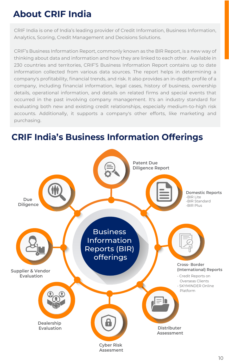### **About CRIF India**

CRIF India is one of India's leading provider of Credit Information, Business Information, Analytics, Scoring, Credit Management and Decisions Solutions.

CRIF's Business Information Report, commonly known as the BIR Report, is a new way of thinking about data and information and how they are linked to each other. Available in 230 countries and territories, CRIF'S Business Information Report contains up to date information collected from various data sources. The report helps in determining a company's profitability, financial trends, and risk. It also provides an in-depth profile of a company, including financial information, legal cases, history of business, ownership details, operational information, and details on related firms and special events that occurred in the past involving company management. It's an industry standard for evaluating both new and existing credit relationships, especially medium-to-high risk accounts. Additionally, it supports a company's other efforts, like marketing and purchasing.

### **Domestic Reports** -BIR Lite -BIR Standard -BIR Plus **Cross- Border (International) Reports** - Credit Reports on Overseas Clients - SKYMINDER Online Platform **Due Diligence Supplier & Vendor Evaluation Dealership Evaluation** Business Information Reports (BIR) offerings **Distributer Assessment Patent Due Diligence Report**

### **CRIF India's Business Information Offerings**

**Cyber Risk Assesment**